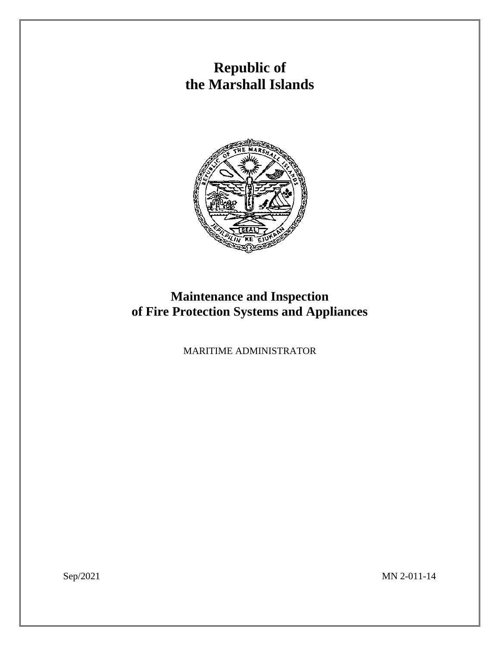# **Republic of the Marshall Islands**



## **Maintenance and Inspection of Fire Protection Systems and Appliances**

MARITIME ADMINISTRATOR

Sep/2021 MN 2-011-14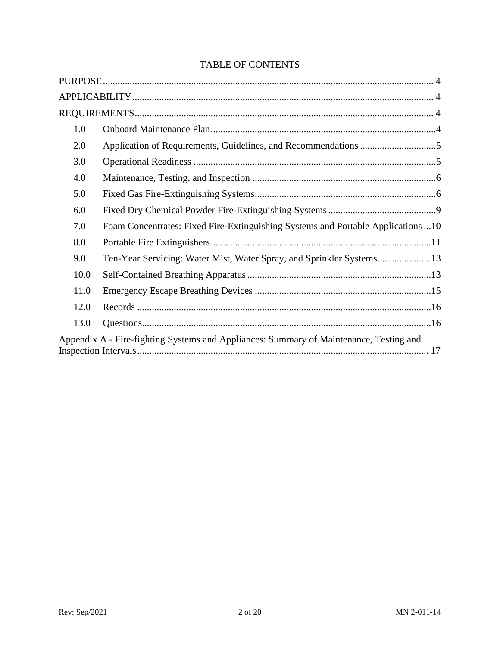### TABLE OF CONTENTS

| 1.0  |                                                                                        |  |
|------|----------------------------------------------------------------------------------------|--|
| 2.0  |                                                                                        |  |
| 3.0  |                                                                                        |  |
| 4.0  |                                                                                        |  |
| 5.0  |                                                                                        |  |
| 6.0  |                                                                                        |  |
| 7.0  | Foam Concentrates: Fixed Fire-Extinguishing Systems and Portable Applications 10       |  |
| 8.0  |                                                                                        |  |
| 9.0  |                                                                                        |  |
| 10.0 |                                                                                        |  |
| 11.0 |                                                                                        |  |
| 12.0 |                                                                                        |  |
| 13.0 |                                                                                        |  |
|      | Appendix A - Fire-fighting Systems and Appliances: Summary of Maintenance, Testing and |  |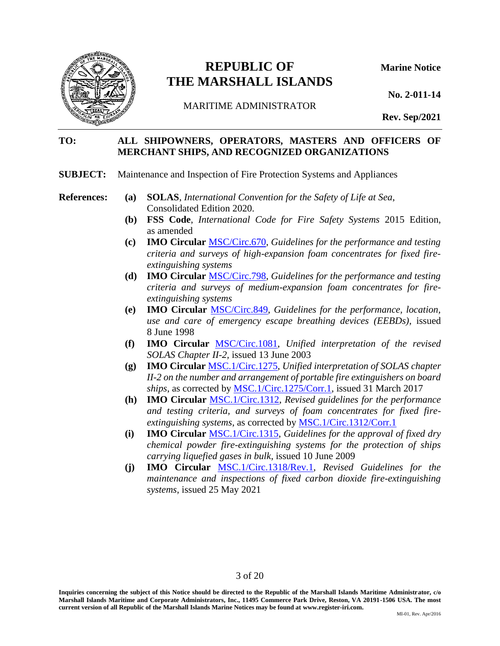

### **REPUBLIC OF Marine Notice THE MARSHALL ISLANDS**

**No. 2-011-14**

MARITIME ADMINISTRATOR

**Rev. Sep/2021**

#### **TO: ALL SHIPOWNERS, OPERATORS, MASTERS AND OFFICERS OF MERCHANT SHIPS, AND RECOGNIZED ORGANIZATIONS**

- **SUBJECT:** Maintenance and Inspection of Fire Protection Systems and Appliances
- 
- **References: (a) SOLAS**, *International Convention for the Safety of Life at Sea*, Consolidated Edition 2020.
	- **(b) FSS Code**, *International Code for Fire Safety Systems* 2015 Edition, as amended
	- **(c) IMO Circular** [MSC/Circ.670,](https://www.register-iri.com/wp-content/uploads/MSC.1-Circ.670.pdf) *Guidelines for the performance and testing criteria and surveys of high-expansion foam concentrates for fixed fireextinguishing systems*
	- **(d) IMO Circular** [MSC/Circ.798,](https://www.register-iri.com/wp-content/uploads/MSC-Circ.798.pdf) *Guidelines for the performance and testing criteria and surveys of medium-expansion foam concentrates for fireextinguishing systems*
	- **(e) IMO Circular** [MSC/Circ.849,](https://www.register-iri.com/wp-content/uploads/MSC.1-Circ.849.pdf) *Guidelines for the performance, location, use and care of emergency escape breathing devices (EEBDs)*, issued 8 June 1998
	- **(f) IMO Circular** [MSC/Circ.1081,](https://www.register-iri.com/wp-content/uploads/MSC.1-Circ.1081.pdf) *Unified interpretation of the revised SOLAS Chapter II-2,* issued 13 June 2003
	- **(g) IMO Circular** [MSC.1/Circ.1275,](https://www.register-iri.com/wp-content/uploads/MSC.1-Circ.1275.pdf) *Unified interpretation of SOLAS chapter II-2 on the number and arrangement of portable fire extinguishers on board ships*, as corrected by [MSC.1/Circ.1275/Corr.1,](https://www.register-iri.com/wp-content/uploads/MSC.1-Circ.1275-Corr.1.pdf) issued 31 March 2017
	- **(h) IMO Circular** [MSC.1/Circ.1312,](https://www.register-iri.com/wp-content/uploads/MSC.1-Circ.1312.pdf) *Revised guidelines for the performance and testing criteria, and surveys of foam concentrates for fixed fireextinguishing systems*, as corrected by [MSC.1/Circ.1312/Corr.1](https://www.register-iri.com/wp-content/uploads/MSC.1-Circ.1312-Corr-1.pdf)
	- **(i) IMO Circular** [MSC.1/Circ.1315,](https://www.register-iri.com/wp-content/uploads/MSC.1-Circ.1315.pdf) *Guidelines for the approval of fixed dry chemical powder fire-extinguishing systems for the protection of ships carrying liquefied gases in bulk*, issued 10 June 2009
	- **(j) IMO Circular** [MSC.1/Circ.1318/Rev.1](https://www.register-iri.com/wp-content/uploads/MSC.1-Circ.1318-Rev.1.pdf)*, Revised Guidelines for the maintenance and inspections of fixed carbon dioxide fire-extinguishing systems*, issued 25 May 2021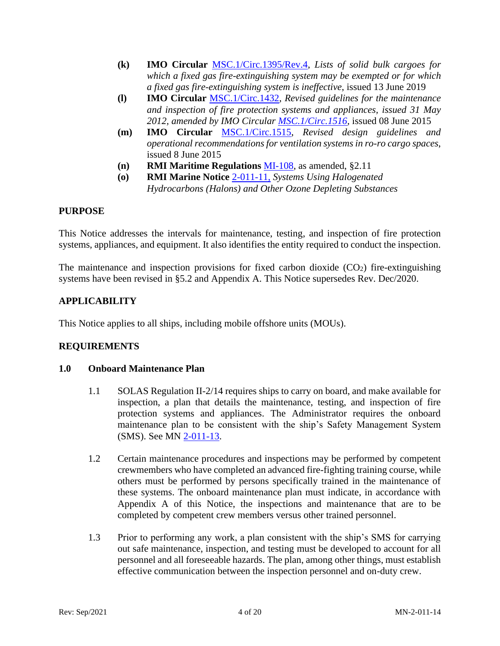- **(k) IMO Circular** [MSC.1/Circ.1395/Rev.4,](https://www.register-iri.com/wp-content/uploads/MSC.1-Circ.1395-Rev.4.pdf) *Lists of solid bulk cargoes for which a fixed gas fire-extinguishing system may be exempted or for which a fixed gas fire-extinguishing system is ineffective*, issued 13 June 2019
- **(l) IMO Circular** [MSC.1/Circ.1432,](https://www.register-iri.com/wp-content/uploads/MSC.1-Circ.1432.pdf) *Revised guidelines for the maintenance and inspection of fire protection systems and appliances, issued 31 May 2012, amended by IMO Circular [MSC.1/Circ.1516,](https://www.register-iri.com/wp-content/uploads/MSC.1-Circ.1516.pdf)* issued 08 June 2015
- **(m) IMO Circular** [MSC.1/Circ.1515,](https://www.register-iri.com/wp-content/uploads/MSC.1-Circ.1515.pdf) *Revised design guidelines and operational recommendations for ventilation systems in ro-ro cargo spaces*, issued 8 June 2015
- **(n) RMI Maritime Regulations** [MI-108,](https://www.register-iri.com/wp-content/uploads/MI-108.pdf) as amended, §2.11
- **(o) RMI Marine Notice** [2-011-11,](https://www.register-iri.com/wp-content/uploads/MN-2-011-11.pdf) *Systems Using Halogenated Hydrocarbons (Halons) and Other Ozone Depleting Substances*

#### <span id="page-3-0"></span>**PURPOSE**

This Notice addresses the intervals for maintenance, testing, and inspection of fire protection systems, appliances, and equipment. It also identifies the entity required to conduct the inspection.

The maintenance and inspection provisions for fixed carbon dioxide  $(CO<sub>2</sub>)$  fire-extinguishing systems have been revised in §5.2 and Appendix A. This Notice supersedes Rev. Dec/2020.

#### <span id="page-3-1"></span>**APPLICABILITY**

This Notice applies to all ships, including mobile offshore units (MOUs).

#### <span id="page-3-2"></span>**REQUIREMENTS**

#### <span id="page-3-3"></span>**1.0 Onboard Maintenance Plan**

- 1.1 SOLAS Regulation II-2/14 requires ships to carry on board, and make available for inspection, a plan that details the maintenance, testing, and inspection of fire protection systems and appliances. The Administrator requires the onboard maintenance plan to be consistent with the ship's Safety Management System (SMS). See MN [2-011-13.](https://www.register-iri.com/wp-content/uploads/MN-2-011-13.pdf)
- 1.2 Certain maintenance procedures and inspections may be performed by competent crewmembers who have completed an advanced fire-fighting training course, while others must be performed by persons specifically trained in the maintenance of these systems. The onboard maintenance plan must indicate, in accordance with Appendix A of this Notice, the inspections and maintenance that are to be completed by competent crew members versus other trained personnel.
- 1.3 Prior to performing any work, a plan consistent with the ship's SMS for carrying out safe maintenance, inspection, and testing must be developed to account for all personnel and all foreseeable hazards. The plan, among other things, must establish effective communication between the inspection personnel and on-duty crew.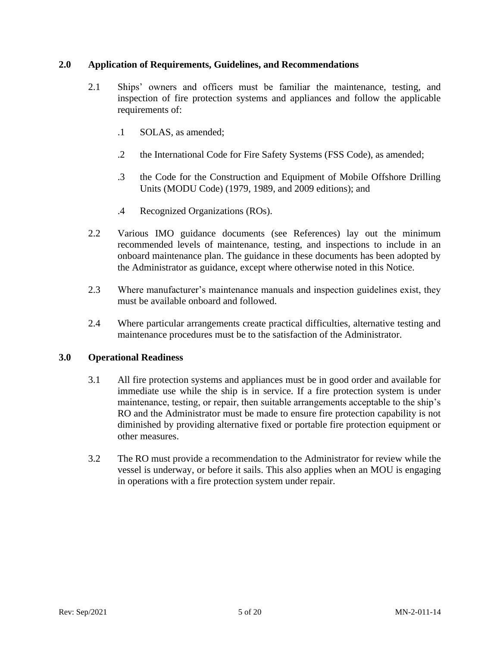#### <span id="page-4-0"></span>**2.0 Application of Requirements, Guidelines, and Recommendations**

- 2.1 Ships' owners and officers must be familiar the maintenance, testing, and inspection of fire protection systems and appliances and follow the applicable requirements of:
	- .1 SOLAS, as amended;
	- .2 the International Code for Fire Safety Systems (FSS Code), as amended;
	- .3 the Code for the Construction and Equipment of Mobile Offshore Drilling Units (MODU Code) (1979, 1989, and 2009 editions); and
	- .4 Recognized Organizations (ROs).
- 2.2 Various IMO guidance documents (see References) lay out the minimum recommended levels of maintenance, testing, and inspections to include in an onboard maintenance plan. The guidance in these documents has been adopted by the Administrator as guidance, except where otherwise noted in this Notice.
- 2.3 Where manufacturer's maintenance manuals and inspection guidelines exist, they must be available onboard and followed.
- 2.4 Where particular arrangements create practical difficulties, alternative testing and maintenance procedures must be to the satisfaction of the Administrator.

#### <span id="page-4-1"></span>**3.0 Operational Readiness**

- 3.1 All fire protection systems and appliances must be in good order and available for immediate use while the ship is in service. If a fire protection system is under maintenance, testing, or repair, then suitable arrangements acceptable to the ship's RO and the Administrator must be made to ensure fire protection capability is not diminished by providing alternative fixed or portable fire protection equipment or other measures.
- 3.2 The RO must provide a recommendation to the Administrator for review while the vessel is underway, or before it sails. This also applies when an MOU is engaging in operations with a fire protection system under repair.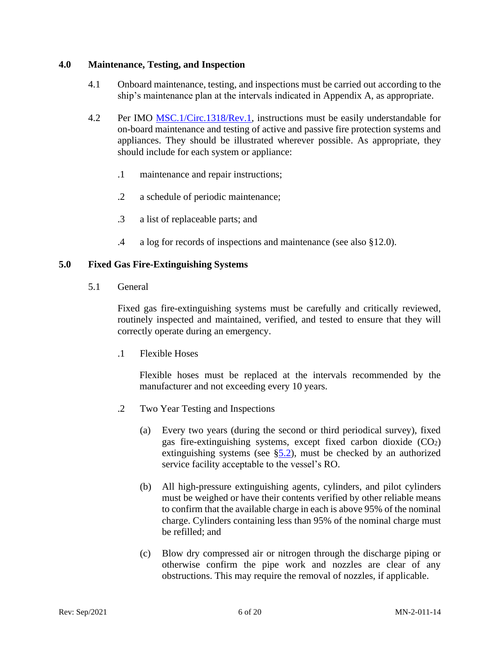#### <span id="page-5-0"></span>**4.0 Maintenance, Testing, and Inspection**

- 4.1 Onboard maintenance, testing, and inspections must be carried out according to the ship's maintenance plan at the intervals indicated in Appendix A, as appropriate.
- 4.2 Per IMO [MSC.1/Circ.1318/Rev.1,](https://www.register-iri.com/wp-content/uploads/MSC.1-Circ.1318-Rev.1.pdf) instructions must be easily understandable for on-board maintenance and testing of active and passive fire protection systems and appliances. They should be illustrated wherever possible. As appropriate, they should include for each system or appliance:
	- .1 maintenance and repair instructions;
	- .2 a schedule of periodic maintenance;
	- .3 a list of replaceable parts; and
	- .4 a log for records of inspections and maintenance (see also §12.0).

#### <span id="page-5-1"></span>**5.0 Fixed Gas Fire-Extinguishing Systems**

5.1 General

Fixed gas fire-extinguishing systems must be carefully and critically reviewed, routinely inspected and maintained, verified, and tested to ensure that they will correctly operate during an emergency.

.1 Flexible Hoses

Flexible hoses must be replaced at the intervals recommended by the manufacturer and not exceeding every 10 years.

- .2 Two Year Testing and Inspections
	- (a) Every two years (during the second or third periodical survey), fixed gas fire-extinguishing systems, except fixed carbon dioxide (CO2) extinguishing systems (see  $\S$ 5.2), must be checked by an authorized service facility acceptable to the vessel's RO.
	- (b) All high-pressure extinguishing agents, cylinders, and pilot cylinders must be weighed or have their contents verified by other reliable means to confirm that the available charge in each is above 95% of the nominal charge. Cylinders containing less than 95% of the nominal charge must be refilled; and
	- (c) Blow dry compressed air or nitrogen through the discharge piping or otherwise confirm the pipe work and nozzles are clear of any obstructions. This may require the removal of nozzles, if applicable.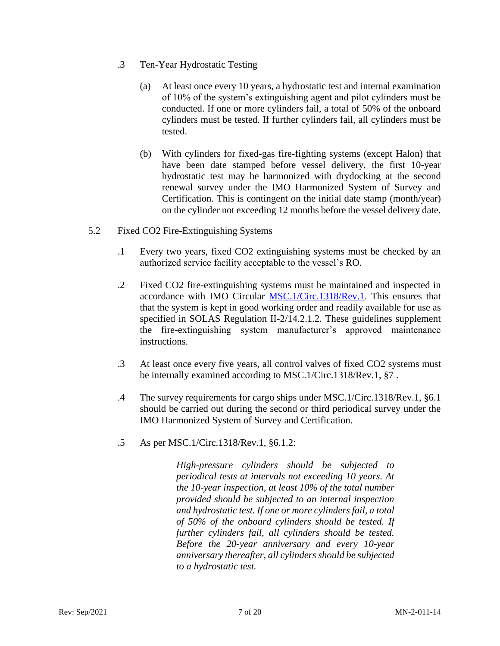- .3 Ten-Year Hydrostatic Testing
	- (a) At least once every 10 years, a hydrostatic test and internal examination of 10% of the system's extinguishing agent and pilot cylinders must be conducted. If one or more cylinders fail, a total of 50% of the onboard cylinders must be tested. If further cylinders fail, all cylinders must be tested.
	- (b) With cylinders for fixed-gas fire-fighting systems (except Halon) that have been date stamped before vessel delivery, the first 10-year hydrostatic test may be harmonized with drydocking at the second renewal survey under the IMO Harmonized System of Survey and Certification. This is contingent on the initial date stamp (month/year) on the cylinder not exceeding 12 months before the vessel delivery date.
- <span id="page-6-0"></span>5.2 Fixed CO2 Fire-Extinguishing Systems
	- .1 Every two years, fixed CO2 extinguishing systems must be checked by an authorized service facility acceptable to the vessel's RO.
	- .2 Fixed CO2 fire-extinguishing systems must be maintained and inspected in accordance with IMO Circular [MSC.1/Circ.1318/Rev.1.](https://www.register-iri.com/wp-content/uploads/MSC.1-Circ.1318-Rev.1.pdf) This ensures that that the system is kept in good working order and readily available for use as specified in SOLAS Regulation II-2/14.2.1.2. These guidelines supplement the fire-extinguishing system manufacturer's approved maintenance instructions.
	- .3 At least once every five years, all control valves of fixed CO2 systems must be internally examined according to MSC.1/Circ.1318/Rev.1, §7.
	- .4 The survey requirements for cargo ships under MSC.1/Circ.1318/Rev.1, §6.1 should be carried out during the second or third periodical survey under the IMO Harmonized System of Survey and Certification.
	- .5 As per MSC.1/Circ.1318/Rev.1, §6.1.2:

*High-pressure cylinders should be subjected to periodical tests at intervals not exceeding 10 years. At the 10-year inspection, at least 10% of the total number provided should be subjected to an internal inspection and hydrostatic test. If one or more cylinders fail, a total of 50% of the onboard cylinders should be tested. If further cylinders fail, all cylinders should be tested. Before the 20-year anniversary and every 10-year anniversary thereafter, all cylinders should be subjected to a hydrostatic test.*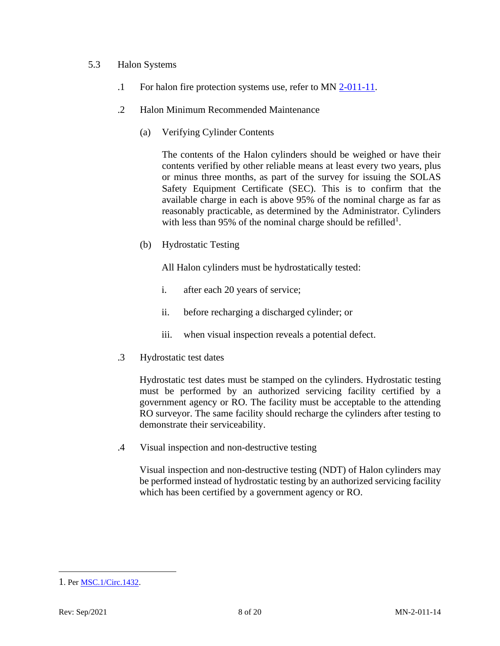#### 5.3 Halon Systems

- .1 For halon fire protection systems use, refer to MN [2-011-11.](https://www.register-iri.com/wp-content/uploads/MN-2-011-11.pdf)
- .2 Halon Minimum Recommended Maintenance
	- (a) Verifying Cylinder Contents

The contents of the Halon cylinders should be weighed or have their contents verified by other reliable means at least every two years, plus or minus three months, as part of the survey for issuing the SOLAS Safety Equipment Certificate (SEC). This is to confirm that the available charge in each is above 95% of the nominal charge as far as reasonably practicable, as determined by the Administrator. Cylinders with less than 95% of the nominal charge should be refilled<sup>1</sup>.

(b) Hydrostatic Testing

All Halon cylinders must be hydrostatically tested:

- i. after each 20 years of service;
- ii. before recharging a discharged cylinder; or
- iii. when visual inspection reveals a potential defect.
- .3 Hydrostatic test dates

Hydrostatic test dates must be stamped on the cylinders. Hydrostatic testing must be performed by an authorized servicing facility certified by a government agency or RO. The facility must be acceptable to the attending RO surveyor. The same facility should recharge the cylinders after testing to demonstrate their serviceability.

.4 Visual inspection and non-destructive testing

Visual inspection and non-destructive testing (NDT) of Halon cylinders may be performed instead of hydrostatic testing by an authorized servicing facility which has been certified by a government agency or RO.

<sup>1</sup>. Per [MSC.1/Circ.1432.](http://www.register-iri.com/forms/upload/MSC.1-Circ.1432.pdf)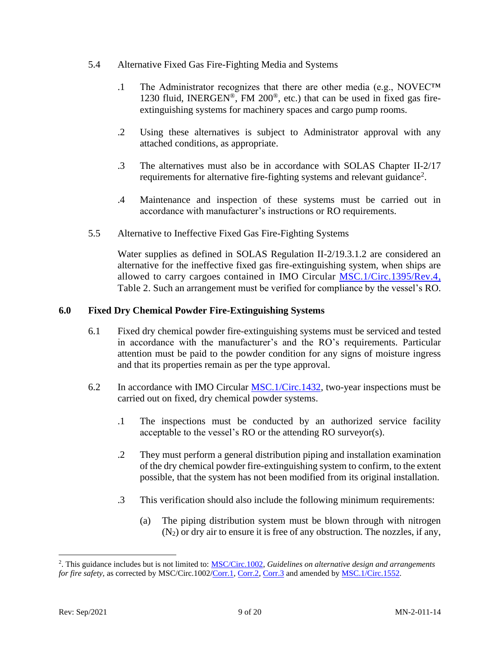- 5.4 Alternative Fixed Gas Fire-Fighting Media and Systems
	- .1 The Administrator recognizes that there are other media (e.g., NOVEC™ 1230 fluid, INERGEN<sup>®</sup>, FM 200<sup>®</sup>, etc.) that can be used in fixed gas fireextinguishing systems for machinery spaces and cargo pump rooms.
	- .2 Using these alternatives is subject to Administrator approval with any attached conditions, as appropriate.
	- .3 The alternatives must also be in accordance with SOLAS Chapter II-2/17 requirements for alternative fire-fighting systems and relevant guidance<sup>2</sup>.
	- .4 Maintenance and inspection of these systems must be carried out in accordance with manufacturer's instructions or RO requirements.
- 5.5 Alternative to Ineffective Fixed Gas Fire-Fighting Systems

Water supplies as defined in SOLAS Regulation II-2/19.3.1.2 are considered an alternative for the ineffective fixed gas fire-extinguishing system, when ships are allowed to carry cargoes contained in IMO Circular [MSC.1/Circ.1395/Rev.4,](https://www.register-iri.com/wp-content/uploads/MSC.1-Circ.1395-Rev.4.pdf) Table 2. Such an arrangement must be verified for compliance by the vessel's RO.

#### <span id="page-8-0"></span>**6.0 Fixed Dry Chemical Powder Fire-Extinguishing Systems**

- 6.1 Fixed dry chemical powder fire-extinguishing systems must be serviced and tested in accordance with the manufacturer's and the RO's requirements. Particular attention must be paid to the powder condition for any signs of moisture ingress and that its properties remain as per the type approval.
- 6.2 In accordance with IMO Circular [MSC.1/Circ.1432,](http://www.register-iri.com/forms/upload/MSC.1-Circ.1432.pdf) two-year inspections must be carried out on fixed, dry chemical powder systems.
	- .1 The inspections must be conducted by an authorized service facility acceptable to the vessel's RO or the attending RO surveyor(s).
	- .2 They must perform a general distribution piping and installation examination of the dry chemical powder fire-extinguishing system to confirm, to the extent possible, that the system has not been modified from its original installation.
	- .3 This verification should also include the following minimum requirements:
		- (a) The piping distribution system must be blown through with nitrogen  $(N_2)$  or dry air to ensure it is free of any obstruction. The nozzles, if any,

<sup>2</sup> . This guidance includes but is not limited to[: MSC/Circ.1002,](https://www.register-iri.com/wp-content/uploads/MSC.1-Circ.1002.pdf) *Guidelines on alternative design and arrangements for fire safety, as corrected by MSC/Circ.1002[/Corr.1,](https://www.register-iri.com/wp-content/uploads/MSC.1-Circ.1002-Corr.1.pdf) [Corr.2,](https://www.register-iri.com/wp-content/uploads/MSC.1-Circ.1002-Corr.2.pdf) [Corr.3](https://www.register-iri.com/wp-content/uploads/MSC.1-Circ.1002-Corr.3.pdf) and amended by [MSC.1/Circ.1552](https://www.register-iri.com/wp-content/uploads/MSC.1-Circ.1552.pdf).*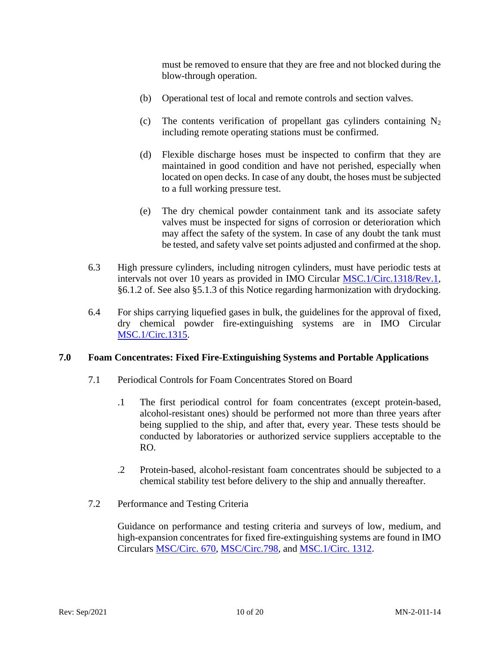must be removed to ensure that they are free and not blocked during the blow-through operation.

- (b) Operational test of local and remote controls and section valves.
- (c) The contents verification of propellant gas cylinders containing  $N_2$ including remote operating stations must be confirmed.
- (d) Flexible discharge hoses must be inspected to confirm that they are maintained in good condition and have not perished, especially when located on open decks. In case of any doubt, the hoses must be subjected to a full working pressure test.
- (e) The dry chemical powder containment tank and its associate safety valves must be inspected for signs of corrosion or deterioration which may affect the safety of the system. In case of any doubt the tank must be tested, and safety valve set points adjusted and confirmed at the shop.
- 6.3 High pressure cylinders, including nitrogen cylinders, must have periodic tests at intervals not over 10 years as provided in IMO Circular [MSC.1/Circ.1318/Rev.1,](https://www.register-iri.com/wp-content/uploads/MSC.1-Circ.1318-Rev.1.pdf) §6.1.2 of. See also §5.1.3 of this Notice regarding harmonization with drydocking.
- 6.4 For ships carrying liquefied gases in bulk, the guidelines for the approval of fixed, dry chemical powder fire-extinguishing systems are in IMO Circular [MSC.1/Circ.1315.](http://www.register-iri.com/forms/upload/MSC.1-Circ.1315.pdf)

#### <span id="page-9-0"></span>**7.0 Foam Concentrates: Fixed Fire-Extinguishing Systems and Portable Applications**

- 7.1 Periodical Controls for Foam Concentrates Stored on Board
	- .1 The first periodical control for foam concentrates (except protein-based, alcohol-resistant ones) should be performed not more than three years after being supplied to the ship, and after that, every year. These tests should be conducted by laboratories or authorized service suppliers acceptable to the RO.
	- .2 Protein-based, alcohol-resistant foam concentrates should be subjected to a chemical stability test before delivery to the ship and annually thereafter.
- 7.2 Performance and Testing Criteria

Guidance on performance and testing criteria and surveys of low, medium, and high-expansion concentrates for fixed fire-extinguishing systems are found in IMO Circulars [MSC/Circ. 670,](https://www.register-iri.com/wp-content/uploads/MSC.1-Circ.670.pdf) [MSC/Circ.798,](https://www.register-iri.com/wp-content/uploads/MSC-Circ.798.pdf) and [MSC.1/Circ. 1312.](https://www.register-iri.com/wp-content/uploads/MSC.1-Circ.1312.pdf)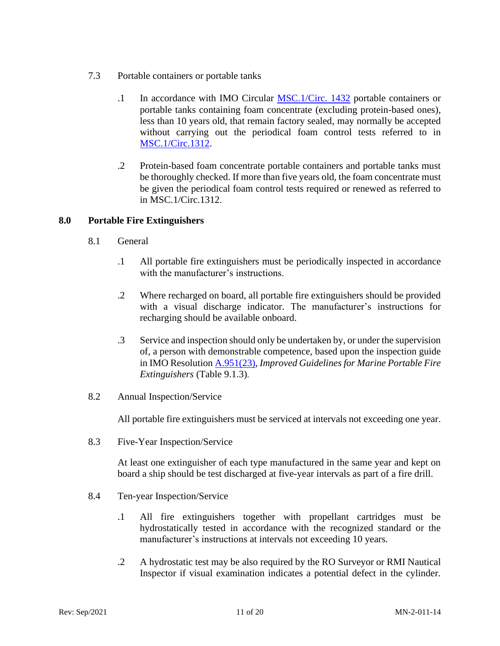- 7.3 Portable containers or portable tanks
	- .1 In accordance with IMO Circular [MSC.1/Circ. 1432](https://www.register-iri.com/wp-content/uploads/MSC.1-Circ.1432.pdf) portable containers or portable tanks containing foam concentrate (excluding protein-based ones), less than 10 years old, that remain factory sealed, may normally be accepted without carrying out the periodical foam control tests referred to in [MSC.1/Circ.1312.](https://www.register-iri.com/wp-content/uploads/MSC.1-Circ.1312.pdf)
	- .2 Protein-based foam concentrate portable containers and portable tanks must be thoroughly checked. If more than five years old, the foam concentrate must be given the periodical foam control tests required or renewed as referred to in MSC.1/Circ.1312.

#### <span id="page-10-0"></span>**8.0 Portable Fire Extinguishers**

- 8.1 General
	- .1 All portable fire extinguishers must be periodically inspected in accordance with the manufacturer's instructions.
	- .2 Where recharged on board, all portable fire extinguishers should be provided with a visual discharge indicator. The manufacturer's instructions for recharging should be available onboard.
	- .3 Service and inspection should only be undertaken by, or under the supervision of, a person with demonstrable competence, based upon the inspection guide in IMO Resolution [A.951\(23\),](https://www.register-iri.com/wp-content/uploads/A_23_Resolution_951.pdf) *Improved Guidelines for Marine Portable Fire Extinguishers* (Table 9.1.3).
- 8.2 Annual Inspection/Service

All portable fire extinguishers must be serviced at intervals not exceeding one year.

8.3 Five-Year Inspection/Service

At least one extinguisher of each type manufactured in the same year and kept on board a ship should be test discharged at five-year intervals as part of a fire drill.

- 8.4 Ten-year Inspection/Service
	- .1 All fire extinguishers together with propellant cartridges must be hydrostatically tested in accordance with the recognized standard or the manufacturer's instructions at intervals not exceeding 10 years.
	- .2 A hydrostatic test may be also required by the RO Surveyor or RMI Nautical Inspector if visual examination indicates a potential defect in the cylinder.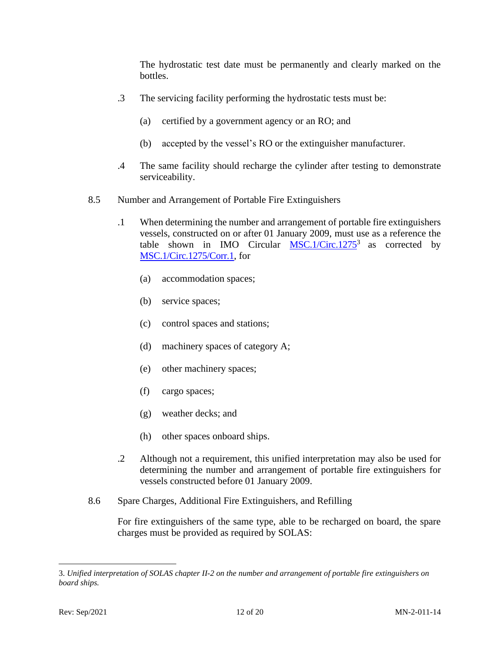The hydrostatic test date must be permanently and clearly marked on the bottles.

- .3 The servicing facility performing the hydrostatic tests must be:
	- (a) certified by a government agency or an RO; and
	- (b) accepted by the vessel's RO or the extinguisher manufacturer.
- .4 The same facility should recharge the cylinder after testing to demonstrate serviceability.
- 8.5 Number and Arrangement of Portable Fire Extinguishers
	- .1 When determining the number and arrangement of portable fire extinguishers vessels, constructed on or after 01 January 2009, must use as a reference the table shown in IMO Circular  $MSC.1/Circ.1275^3$  $MSC.1/Circ.1275^3$  as corrected by [MSC.1/Circ.1275/Corr.1,](https://www.register-iri.com/wp-content/uploads/MSC.1-Circ.1275-Corr.1.pdf) for
		- (a) accommodation spaces;
		- (b) service spaces;
		- (c) control spaces and stations;
		- (d) machinery spaces of category A;
		- (e) other machinery spaces;
		- (f) cargo spaces;
		- (g) weather decks; and
		- (h) other spaces onboard ships.
	- .2 Although not a requirement, this unified interpretation may also be used for determining the number and arrangement of portable fire extinguishers for vessels constructed before 01 January 2009.
- 8.6 Spare Charges, Additional Fire Extinguishers, and Refilling

For fire extinguishers of the same type, able to be recharged on board, the spare charges must be provided as required by SOLAS:

<sup>3.</sup> *Unified interpretation of SOLAS chapter II-2 on the number and arrangement of portable fire extinguishers on board ships.*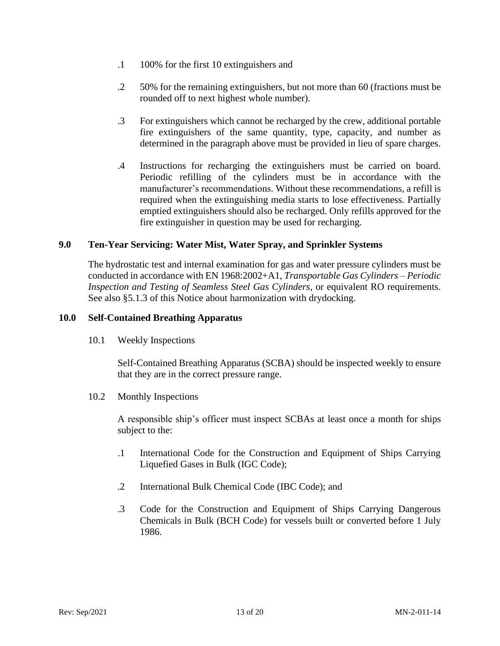- .1 100% for the first 10 extinguishers and
- .2 50% for the remaining extinguishers, but not more than 60 (fractions must be rounded off to next highest whole number).
- .3 For extinguishers which cannot be recharged by the crew, additional portable fire extinguishers of the same quantity, type, capacity, and number as determined in the paragraph above must be provided in lieu of spare charges.
- .4 Instructions for recharging the extinguishers must be carried on board. Periodic refilling of the cylinders must be in accordance with the manufacturer's recommendations. Without these recommendations, a refill is required when the extinguishing media starts to lose effectiveness. Partially emptied extinguishers should also be recharged. Only refills approved for the fire extinguisher in question may be used for recharging.

#### <span id="page-12-2"></span><span id="page-12-0"></span>**9.0 Ten-Year Servicing: Water Mist, Water Spray, and Sprinkler Systems**

The hydrostatic test and internal examination for gas and water pressure cylinders must be conducted in accordance with EN 1968:2002+A1, *Transportable Gas Cylinders – Periodic Inspection and Testing of Seamless Steel Gas Cylinders*, or equivalent RO requirements. See also §5.1.3 of this Notice about harmonization with drydocking.

#### <span id="page-12-1"></span>**10.0 Self-Contained Breathing Apparatus**

10.1 Weekly Inspections

Self-Contained Breathing Apparatus (SCBA) should be inspected weekly to ensure that they are in the correct pressure range.

10.2 Monthly Inspections

A responsible ship's officer must inspect SCBAs at least once a month for ships subject to the:

- .1 International Code for the Construction and Equipment of Ships Carrying Liquefied Gases in Bulk (IGC Code);
- .2 International Bulk Chemical Code (IBC Code); and
- .3 Code for the Construction and Equipment of Ships Carrying Dangerous Chemicals in Bulk (BCH Code) for vessels built or converted before 1 July 1986.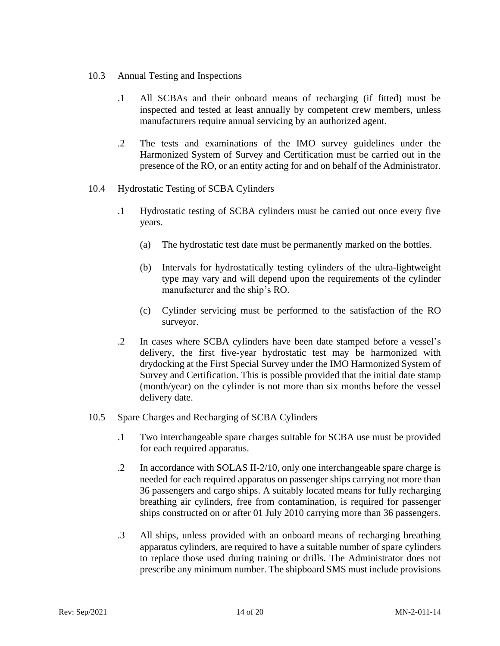- 10.3 Annual Testing and Inspections
	- .1 All SCBAs and their onboard means of recharging (if fitted) must be inspected and tested at least annually by competent crew members, unless manufacturers require annual servicing by an authorized agent.
	- .2 The tests and examinations of the IMO survey guidelines under the Harmonized System of Survey and Certification must be carried out in the presence of the RO, or an entity acting for and on behalf of the Administrator.
- 10.4 Hydrostatic Testing of SCBA Cylinders
	- .1 Hydrostatic testing of SCBA cylinders must be carried out once every five years.
		- (a) The hydrostatic test date must be permanently marked on the bottles.
		- (b) Intervals for hydrostatically testing cylinders of the ultra-lightweight type may vary and will depend upon the requirements of the cylinder manufacturer and the ship's RO.
		- (c) Cylinder servicing must be performed to the satisfaction of the RO surveyor.
	- .2 In cases where SCBA cylinders have been date stamped before a vessel's delivery, the first five-year hydrostatic test may be harmonized with drydocking at the First Special Survey under the IMO Harmonized System of Survey and Certification. This is possible provided that the initial date stamp (month/year) on the cylinder is not more than six months before the vessel delivery date.
- 10.5 Spare Charges and Recharging of SCBA Cylinders
	- .1 Two interchangeable spare charges suitable for SCBA use must be provided for each required apparatus.
	- .2 In accordance with SOLAS II-2/10, only one interchangeable spare charge is needed for each required apparatus on passenger ships carrying not more than 36 passengers and cargo ships. A suitably located means for fully recharging breathing air cylinders, free from contamination, is required for passenger ships constructed on or after 01 July 2010 carrying more than 36 passengers.
	- .3 All ships, unless provided with an onboard means of recharging breathing apparatus cylinders, are required to have a suitable number of spare cylinders to replace those used during training or drills. The Administrator does not prescribe any minimum number. The shipboard SMS must include provisions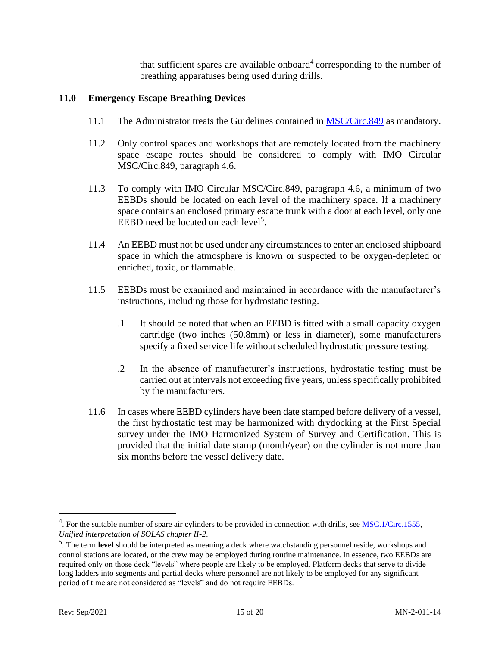that sufficient spares are available onboard<sup>4</sup> corresponding to the number of breathing apparatuses being used during drills.

#### <span id="page-14-0"></span>**11.0 Emergency Escape Breathing Devices**

- 11.1 The Administrator treats the Guidelines contained in [MSC/Circ.849](http://www.register-iri.com/forms/upload/MSC.1-Circ.849.pdf) as mandatory.
- 11.2 Only control spaces and workshops that are remotely located from the machinery space escape routes should be considered to comply with IMO Circular MSC/Circ.849, paragraph 4.6.
- 11.3 To comply with IMO Circular MSC/Circ.849, paragraph 4.6, a minimum of two EEBDs should be located on each level of the machinery space. If a machinery space contains an enclosed primary escape trunk with a door at each level, only one EEBD need be located on each level<sup>5</sup>.
- 11.4 An EEBD must not be used under any circumstances to enter an enclosed shipboard space in which the atmosphere is known or suspected to be oxygen-depleted or enriched, toxic, or flammable.
- 11.5 EEBDs must be examined and maintained in accordance with the manufacturer's instructions, including those for hydrostatic testing.
	- .1 It should be noted that when an EEBD is fitted with a small capacity oxygen cartridge (two inches (50.8mm) or less in diameter), some manufacturers specify a fixed service life without scheduled hydrostatic pressure testing.
	- .2 In the absence of manufacturer's instructions, hydrostatic testing must be carried out at intervals not exceeding five years, unless specifically prohibited by the manufacturers.
- 11.6 In cases where EEBD cylinders have been date stamped before delivery of a vessel, the first hydrostatic test may be harmonized with drydocking at the First Special survey under the IMO Harmonized System of Survey and Certification. This is provided that the initial date stamp (month/year) on the cylinder is not more than six months before the vessel delivery date.

<sup>&</sup>lt;sup>4</sup>. For the suitable number of spare air cylinders to be provided in connection with drills, see  $MSC.1/Circ.1555$ , *Unified interpretation of SOLAS chapter II-2*.

<sup>5</sup> . The term **level** should be interpreted as meaning a deck where watchstanding personnel reside, workshops and control stations are located, or the crew may be employed during routine maintenance. In essence, two EEBDs are required only on those deck "levels" where people are likely to be employed. Platform decks that serve to divide long ladders into segments and partial decks where personnel are not likely to be employed for any significant period of time are not considered as "levels" and do not require EEBDs.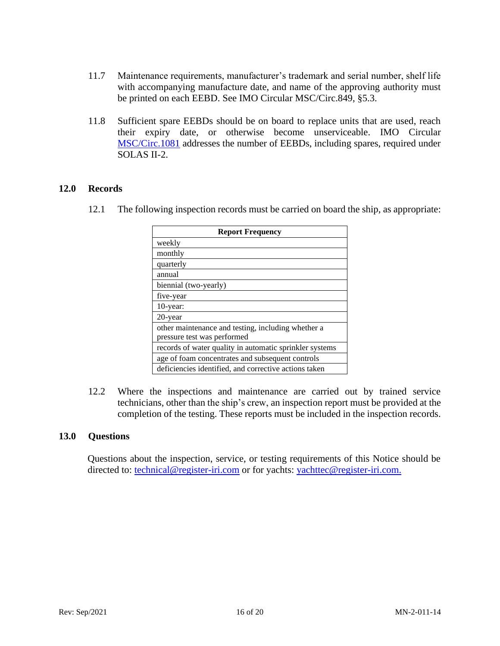- 11.7 Maintenance requirements, manufacturer's trademark and serial number, shelf life with accompanying manufacture date, and name of the approving authority must be printed on each EEBD. See IMO Circular MSC/Circ.849, §5.3.
- 11.8 Sufficient spare EEBDs should be on board to replace units that are used, reach their expiry date, or otherwise become unserviceable. IMO Circular [MSC/Circ.1081](http://www.register-iri.com/forms/upload/MSC.1-Circ.1081.pdf) addresses the number of EEBDs, including spares, required under SOLAS II-2.

#### <span id="page-15-0"></span>**12.0 Records**

12.1 The following inspection records must be carried on board the ship, as appropriate:

| <b>Report Frequency</b>                                 |  |  |  |  |  |  |
|---------------------------------------------------------|--|--|--|--|--|--|
| weekly                                                  |  |  |  |  |  |  |
| monthly                                                 |  |  |  |  |  |  |
| quarterly                                               |  |  |  |  |  |  |
| annual                                                  |  |  |  |  |  |  |
| biennial (two-yearly)                                   |  |  |  |  |  |  |
| five-year                                               |  |  |  |  |  |  |
| $10$ -year:                                             |  |  |  |  |  |  |
| 20-year                                                 |  |  |  |  |  |  |
| other maintenance and testing, including whether a      |  |  |  |  |  |  |
| pressure test was performed                             |  |  |  |  |  |  |
| records of water quality in automatic sprinkler systems |  |  |  |  |  |  |
| age of foam concentrates and subsequent controls        |  |  |  |  |  |  |
| deficiencies identified, and corrective actions taken   |  |  |  |  |  |  |

12.2 Where the inspections and maintenance are carried out by trained service technicians, other than the ship's crew, an inspection report must be provided at the completion of the testing. These reports must be included in the inspection records.

#### <span id="page-15-1"></span>**13.0 Questions**

Questions about the inspection, service, or testing requirements of this Notice should be directed to: [technical@register-iri.com](mailto:technical@register-iri.com) or for yachts: [yachttec@register-iri.com.](mailto:yachttec@register-iri.com)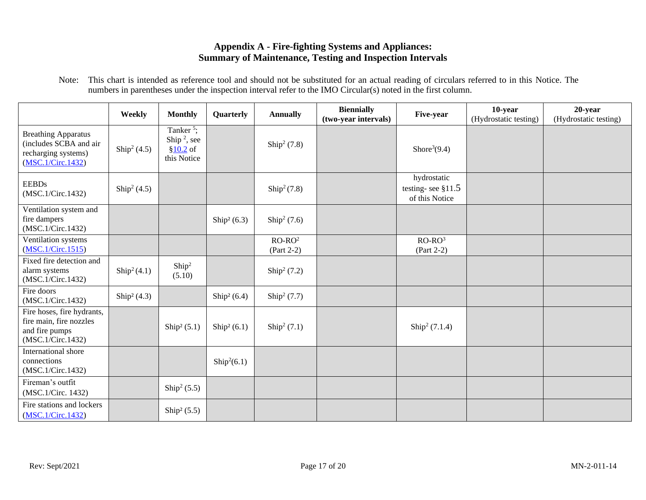#### **Appendix A - Fire-fighting Systems and Appliances: Summary of Maintenance, Testing and Inspection Intervals**

Note: This chart is intended as reference tool and should not be substituted for an actual reading of circulars referred to in this Notice. The numbers in parentheses under the inspection interval refer to the IMO Circular(s) noted in the first column.

<span id="page-16-0"></span>

|                                                                                                  | Weekly               | <b>Monthly</b>                                                                | Quarterly            | <b>Annually</b>          | <b>Biennially</b><br>(two-year intervals) | Five-year                                            | 10-year<br>(Hydrostatic testing) | 20-year<br>(Hydrostatic testing) |
|--------------------------------------------------------------------------------------------------|----------------------|-------------------------------------------------------------------------------|----------------------|--------------------------|-------------------------------------------|------------------------------------------------------|----------------------------------|----------------------------------|
| <b>Breathing Apparatus</b><br>(includes SCBA and air<br>recharging systems)<br>(MSC.1/Circ.1432) | $\text{Ship}^2(4.5)$ | Tanker <sup>5</sup> ;<br>Ship <sup>2</sup> , see<br>$$10.2$ of<br>this Notice |                      | $\text{Ship}^2(7.8)$     |                                           | Shore <sup>3</sup> $(9.4)$                           |                                  |                                  |
| <b>EEBDs</b><br>(MSC.1/Circ.1432)                                                                | $\text{Ship}^2(4.5)$ |                                                                               |                      | $\text{Ship}^2(7.8)$     |                                           | hydrostatic<br>testing-see $§11.5$<br>of this Notice |                                  |                                  |
| Ventilation system and<br>fire dampers<br>(MSC.1/Circ.1432)                                      |                      |                                                                               | $\text{Ship}^2(6.3)$ | $\text{Ship}^2(7.6)$     |                                           |                                                      |                                  |                                  |
| Ventilation systems<br>(MSC.1/Circ.1515)                                                         |                      |                                                                               |                      | $RO-RO2$<br>$(Part 2-2)$ |                                           | $RO-RO3$<br>$(Part 2-2)$                             |                                  |                                  |
| Fixed fire detection and<br>alarm systems<br>(MSC.1/Circ.1432)                                   | $\text{Ship}^2(4.1)$ | $\text{Ship}^2$<br>(5.10)                                                     |                      | $\text{Ship}^2(7.2)$     |                                           |                                                      |                                  |                                  |
| Fire doors<br>(MSC.1/Circ.1432)                                                                  | $\text{Ship}^2(4.3)$ |                                                                               | $\text{Ship}^2(6.4)$ | $\text{Ship}^2(7.7)$     |                                           |                                                      |                                  |                                  |
| Fire hoses, fire hydrants,<br>fire main, fire nozzles<br>and fire pumps<br>(MSC.1/Circ.1432)     |                      | Ship <sup>2</sup> $(5.1)$                                                     | $\text{Ship}^2(6.1)$ | $\text{Ship}^2(7.1)$     |                                           | $\text{Ship}^2 (7.1.4)$                              |                                  |                                  |
| International shore<br>connections<br>(MSC.1/Circ.1432)                                          |                      |                                                                               | $\text{Ship}^2(6.1)$ |                          |                                           |                                                      |                                  |                                  |
| Fireman's outfit<br>(MSC.1/Circ. 1432)                                                           |                      | $\text{Ship}^2(5.5)$                                                          |                      |                          |                                           |                                                      |                                  |                                  |
| Fire stations and lockers<br>(MSC.1/Circ.1432)                                                   |                      | $\text{Ship}^2 (5.5)$                                                         |                      |                          |                                           |                                                      |                                  |                                  |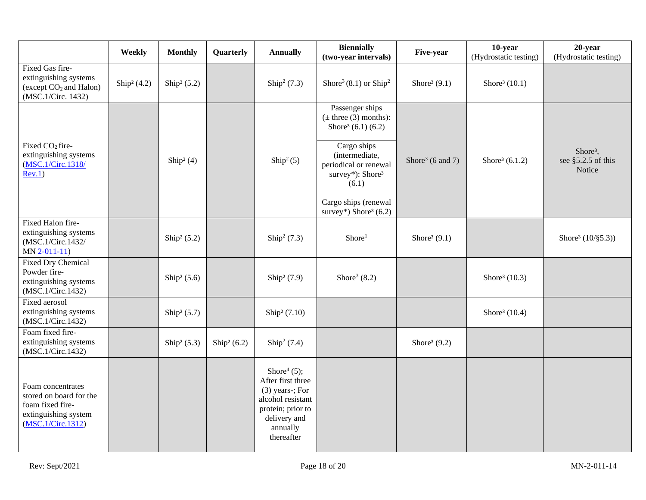|                                                                                                               | Weekly                  | <b>Monthly</b>            | Quarterly                 | <b>Annually</b>                                                                                                                             | <b>Biennially</b><br>(two-year intervals)                                                                                                                                                                                                        | Five-year                    | 10-year<br>(Hydrostatic testing) | 20-year<br>(Hydrostatic testing)                     |
|---------------------------------------------------------------------------------------------------------------|-------------------------|---------------------------|---------------------------|---------------------------------------------------------------------------------------------------------------------------------------------|--------------------------------------------------------------------------------------------------------------------------------------------------------------------------------------------------------------------------------------------------|------------------------------|----------------------------------|------------------------------------------------------|
| Fixed Gas fire-<br>extinguishing systems<br>(except CO <sub>2</sub> and Halon)<br>(MSC.1/Circ. 1432)          | Ship <sup>2</sup> (4.2) | $\text{Ship}^2(5.2)$      |                           | $\text{Ship}^2(7.3)$                                                                                                                        | Shore <sup>3</sup> (8.1) or Ship <sup>2</sup>                                                                                                                                                                                                    | Shore <sup>3</sup> $(9.1)$   | Shore <sup>3</sup> $(10.1)$      |                                                      |
| Fixed CO <sub>2</sub> fire-<br>extinguishing systems<br>(MSC.1/Circ.1318/<br>Rev.1)                           |                         | Ship <sup>2</sup> $(4)$   |                           | $\text{Ship}^2(5)$                                                                                                                          | Passenger ships<br>$(\pm$ three (3) months):<br>Shore <sup>3</sup> (6.1) (6.2)<br>Cargo ships<br>(intermediate,<br>periodical or renewal<br>survey*): Shore <sup>3</sup><br>(6.1)<br>Cargo ships (renewal<br>survey*) Shore <sup>3</sup> $(6.2)$ | Shore <sup>3</sup> (6 and 7) | Shore <sup>3</sup> $(6.1.2)$     | Shore <sup>3</sup> ,<br>see §5.2.5 of this<br>Notice |
| Fixed Halon fire-<br>extinguishing systems<br>(MSC.1/Circ.1432/<br>$MN$ $2-011-11$                            |                         | Ship <sup>2</sup> $(5.2)$ |                           | $\text{Ship}^2(7.3)$                                                                                                                        | Shore <sup>1</sup>                                                                                                                                                                                                                               | Shore <sup>3</sup> $(9.1)$   |                                  | Shore <sup>3</sup> $(10/\$5.3)$ )                    |
| <b>Fixed Dry Chemical</b><br>Powder fire-<br>extinguishing systems<br>(MSC.1/Circ.1432)                       |                         | $\text{Ship}^2 (5.6)$     |                           | Ship <sup>2</sup> (7.9)                                                                                                                     | Shore <sup>3</sup> $(8.2)$                                                                                                                                                                                                                       |                              | Shore <sup>3</sup> $(10.3)$      |                                                      |
| Fixed aerosol<br>extinguishing systems<br>(MSC.1/Circ.1432)                                                   |                         | $\text{Ship}^2 (5.7)$     |                           | Ship <sup>2</sup> (7.10)                                                                                                                    |                                                                                                                                                                                                                                                  |                              | Shore <sup>3</sup> $(10.4)$      |                                                      |
| Foam fixed fire-<br>extinguishing systems<br>(MSC.1/Circ.1432)                                                |                         | Ship <sup>2</sup> $(5.3)$ | Ship <sup>2</sup> $(6.2)$ | $\text{Ship}^2(7.4)$                                                                                                                        |                                                                                                                                                                                                                                                  | Shore <sup>3</sup> $(9.2)$   |                                  |                                                      |
| Foam concentrates<br>stored on board for the<br>foam fixed fire-<br>extinguishing system<br>(MSC.1/Circ.1312) |                         |                           |                           | Shore $(5)$ ;<br>After first three<br>$(3)$ years-; For<br>alcohol resistant<br>protein; prior to<br>delivery and<br>annually<br>thereafter |                                                                                                                                                                                                                                                  |                              |                                  |                                                      |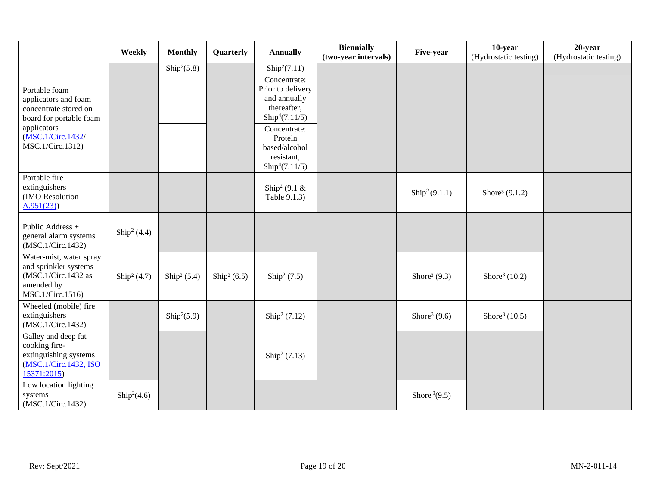|                                                                                                                                                   | Weekly               | <b>Monthly</b>                  | Quarterly            | <b>Annually</b>                                                                                                                                                                                                      | <b>Biennially</b><br>(two-year intervals) | Five-year                  | 10-year<br>(Hydrostatic testing) | $20$ -year<br>(Hydrostatic testing) |
|---------------------------------------------------------------------------------------------------------------------------------------------------|----------------------|---------------------------------|----------------------|----------------------------------------------------------------------------------------------------------------------------------------------------------------------------------------------------------------------|-------------------------------------------|----------------------------|----------------------------------|-------------------------------------|
| Portable foam<br>applicators and foam<br>concentrate stored on<br>board for portable foam<br>applicators<br>(MSC.1/Circ.1432/<br>MSC.1/Circ.1312) |                      | $\overline{\text{Ship}^2(5.8)}$ |                      | $\overline{\text{Ship}^2(7.11)}$<br>Concentrate:<br>Prior to delivery<br>and annually<br>thereafter,<br>$\text{Ship}^4(7.11/5)$<br>Concentrate:<br>Protein<br>based/alcohol<br>resistant,<br>$\text{Ship}^4(7.11/5)$ |                                           |                            |                                  |                                     |
| Portable fire<br>extinguishers<br>(IMO Resolution<br>A.951(23)                                                                                    |                      |                                 |                      | Ship <sup>2</sup> (9.1 $\&$<br>Table 9.1.3)                                                                                                                                                                          |                                           | $\text{Ship}^2(9.1.1)$     | Shore <sup>3</sup> $(9.1.2)$     |                                     |
| Public Address +<br>general alarm systems<br>(MSC.1/Circ.1432)                                                                                    | $\text{Ship}^2(4.4)$ |                                 |                      |                                                                                                                                                                                                                      |                                           |                            |                                  |                                     |
| Water-mist, water spray<br>and sprinkler systems<br>(MSC.1/Circ.1432 as<br>amended by<br>MSC.1/Circ.1516)                                         | $\text{Ship}^2(4.7)$ | Ship <sup>2</sup> (5.4)         | $\text{Ship}^2(6.5)$ | $\text{Ship}^2 (7.5)$                                                                                                                                                                                                |                                           | Shore <sup>3</sup> $(9.3)$ | Shore <sup>3</sup> (10.2)        |                                     |
| Wheeled (mobile) fire<br>extinguishers<br>(MSC.1/Circ.1432)                                                                                       |                      | $\text{Ship}^2(5.9)$            |                      | $\text{Ship}^2 (7.12)$                                                                                                                                                                                               |                                           | Shore <sup>3</sup> $(9.6)$ | Shore <sup>3</sup> (10.5)        |                                     |
| Galley and deep fat<br>cooking fire-<br>extinguishing systems<br>(MSC.1/Circ.1432, ISO<br>15371:2015                                              |                      |                                 |                      | $\text{Ship}^2 (7.13)$                                                                                                                                                                                               |                                           |                            |                                  |                                     |
| Low location lighting<br>systems<br>(MSC.1/Circ.1432)                                                                                             | $\text{Ship}^2(4.6)$ |                                 |                      |                                                                                                                                                                                                                      |                                           | Shore $3(9.5)$             |                                  |                                     |